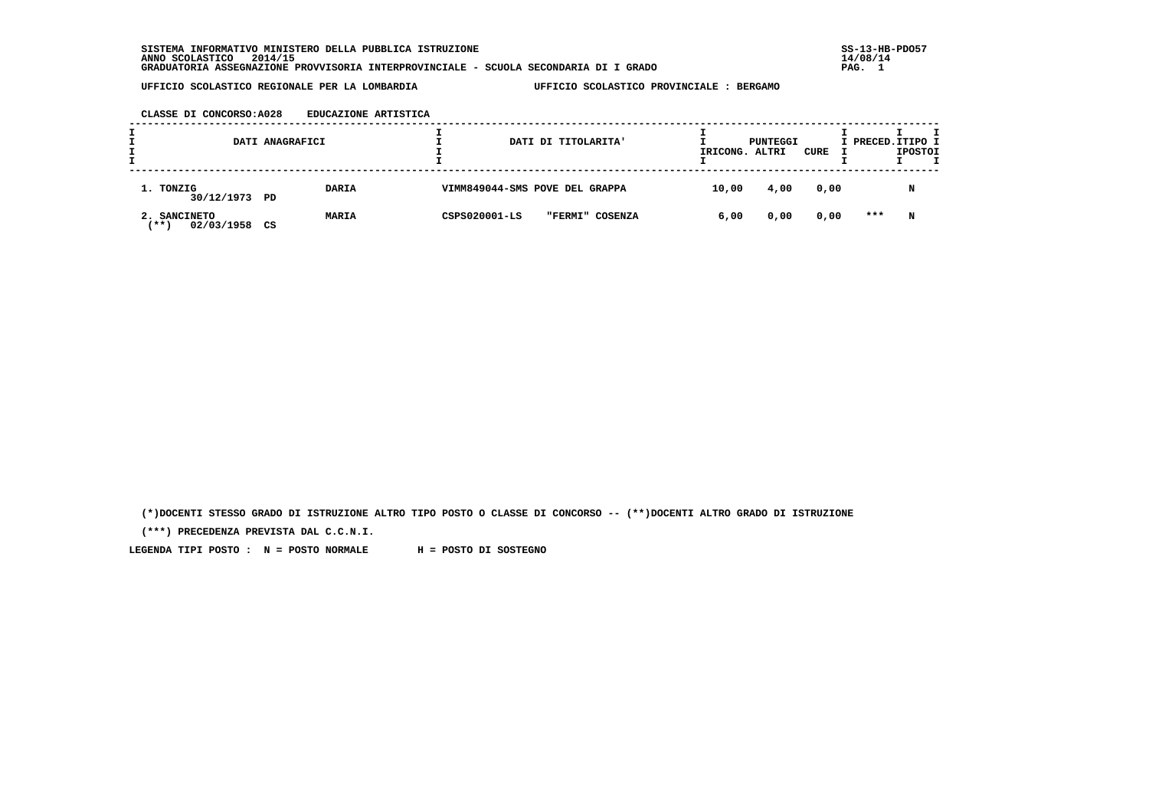### **CLASSE DI CONCORSO:A028 EDUCAZIONE ARTISTICA**

|                                    | DATI ANAGRAFICI    | DATI DI TITOLARITA'              | IRICONG. ALTRI | PUNTEGGI | CURE | I PRECED. ITIPO I | <b>IPOSTOI</b> |  |
|------------------------------------|--------------------|----------------------------------|----------------|----------|------|-------------------|----------------|--|
| 1. TONZIG<br>30/12/1973 PD         | DARIA              | VIMM849044-SMS POVE DEL GRAPPA   | 10,00          | 4,00     | 0,00 |                   |                |  |
| 2. SANCINETO<br>$**$<br>02/03/1958 | <b>MARIA</b><br>CS | CSPS020001-LS<br>"FERMI" COSENZA | 6,00           | 0,00     | 0,00 | ***               | N              |  |

 **(\*)DOCENTI STESSO GRADO DI ISTRUZIONE ALTRO TIPO POSTO O CLASSE DI CONCORSO -- (\*\*)DOCENTI ALTRO GRADO DI ISTRUZIONE**

 **(\*\*\*) PRECEDENZA PREVISTA DAL C.C.N.I.**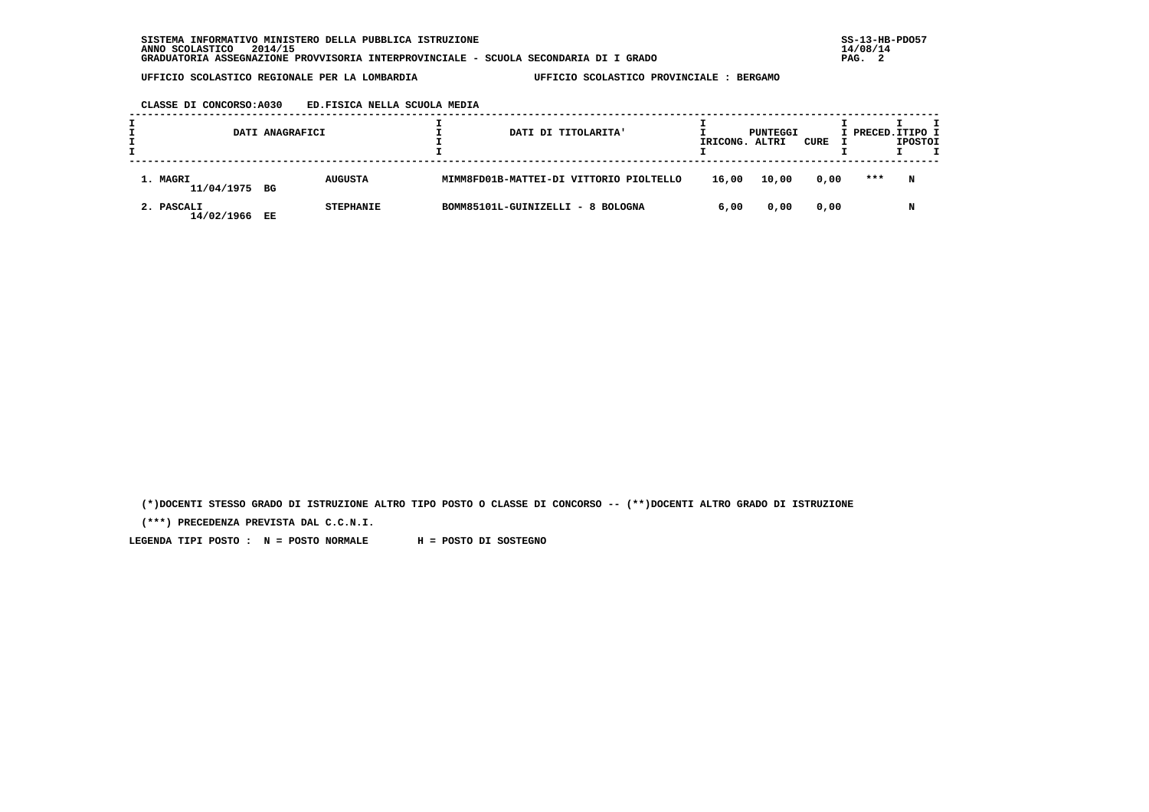#### **CLASSE DI CONCORSO:A030 ED.FISICA NELLA SCUOLA MEDIA**

|                           | DATI ANAGRAFICI |                  |  | DATI DI TITOLARITA'                     | IRICONG. | PUNTEGGI<br>ALTRI | CURE | I PRECED. ITIPO I | <b>IPOSTOI</b> |  |
|---------------------------|-----------------|------------------|--|-----------------------------------------|----------|-------------------|------|-------------------|----------------|--|
| 1. MAGRI<br>11/04/1975 BG |                 | <b>AUGUSTA</b>   |  | MIMM8FD01B-MATTEI-DI VITTORIO PIOLTELLO | 16,00    | 10,00             | 0,00 | ***               | N              |  |
| 2. PASCALI<br>14/02/1966  | EE              | <b>STEPHANIE</b> |  | BOMM85101L-GUINIZELLI - 8 BOLOGNA       | 6,00     | 0,00              | 0,00 |                   | N              |  |

 **(\*)DOCENTI STESSO GRADO DI ISTRUZIONE ALTRO TIPO POSTO O CLASSE DI CONCORSO -- (\*\*)DOCENTI ALTRO GRADO DI ISTRUZIONE**

 **(\*\*\*) PRECEDENZA PREVISTA DAL C.C.N.I.**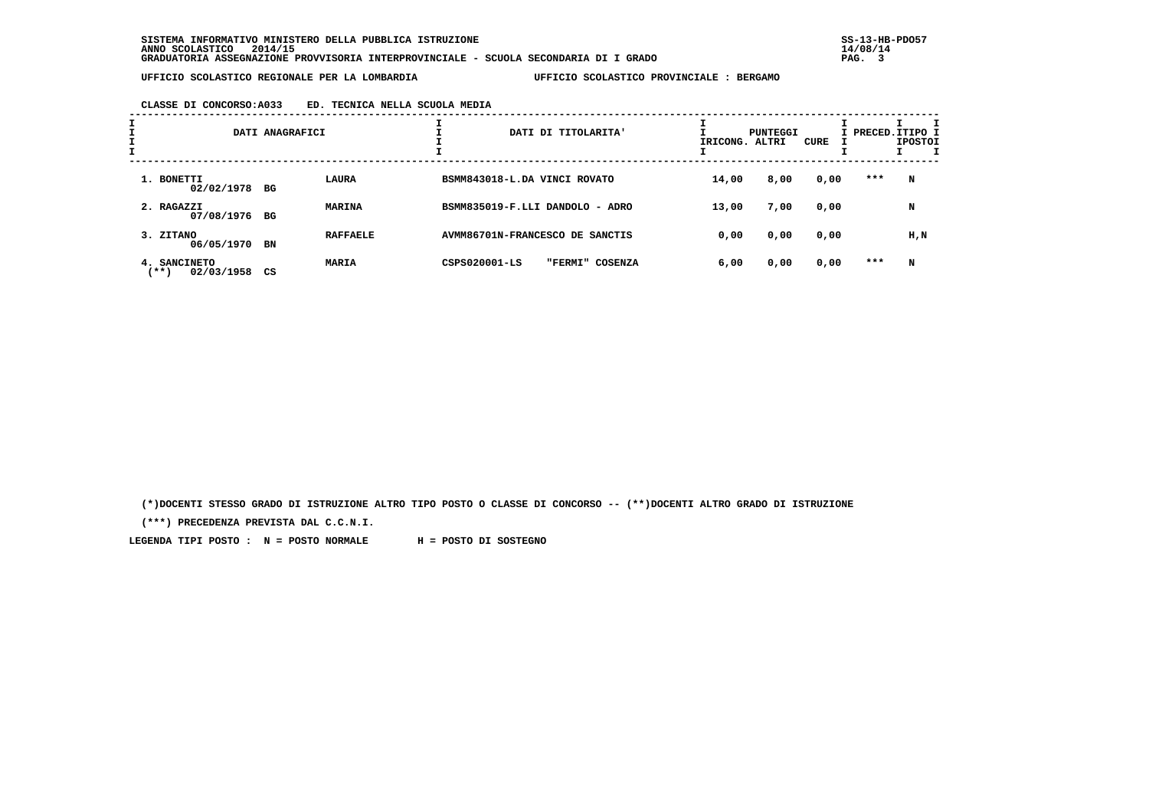## **CLASSE DI CONCORSO:A033 ED. TECNICA NELLA SCUOLA MEDIA**

| I<br>I | DATI ANAGRAFICI                              |    |                 | DATI DI TITOLARITA'             | IRICONG. ALTRI  | PUNTEGGI | CURE | I PRECED. ITIPO I | <b>IPOSTOI</b> |           |
|--------|----------------------------------------------|----|-----------------|---------------------------------|-----------------|----------|------|-------------------|----------------|-----------|
|        | 1. BONETTI<br>02/02/1978 BG                  |    | <b>LAURA</b>    | BSMM843018-L.DA VINCI ROVATO    |                 | 14,00    | 8,00 | 0,00              | $***$          | N         |
|        | 2. RAGAZZI<br>07/08/1976 BG                  |    | <b>MARINA</b>   | BSMM835019-F.LLI DANDOLO - ADRO |                 | 13,00    | 7,00 | 0,00              |                | N         |
|        | 3. ZITANO<br>06/05/1970                      | BN | <b>RAFFAELE</b> | AVMM86701N-FRANCESCO DE SANCTIS |                 | 0,00     | 0,00 | 0,00              |                | $H$ , $N$ |
|        | <b>SANCINETO</b><br>4.<br>02/03/1958<br>(**) | CS | <b>MARIA</b>    | CSPS020001-LS                   | "FERMI" COSENZA | 6,00     | 0,00 | 0,00              | ***            | N         |

 **(\*)DOCENTI STESSO GRADO DI ISTRUZIONE ALTRO TIPO POSTO O CLASSE DI CONCORSO -- (\*\*)DOCENTI ALTRO GRADO DI ISTRUZIONE**

 **(\*\*\*) PRECEDENZA PREVISTA DAL C.C.N.I.**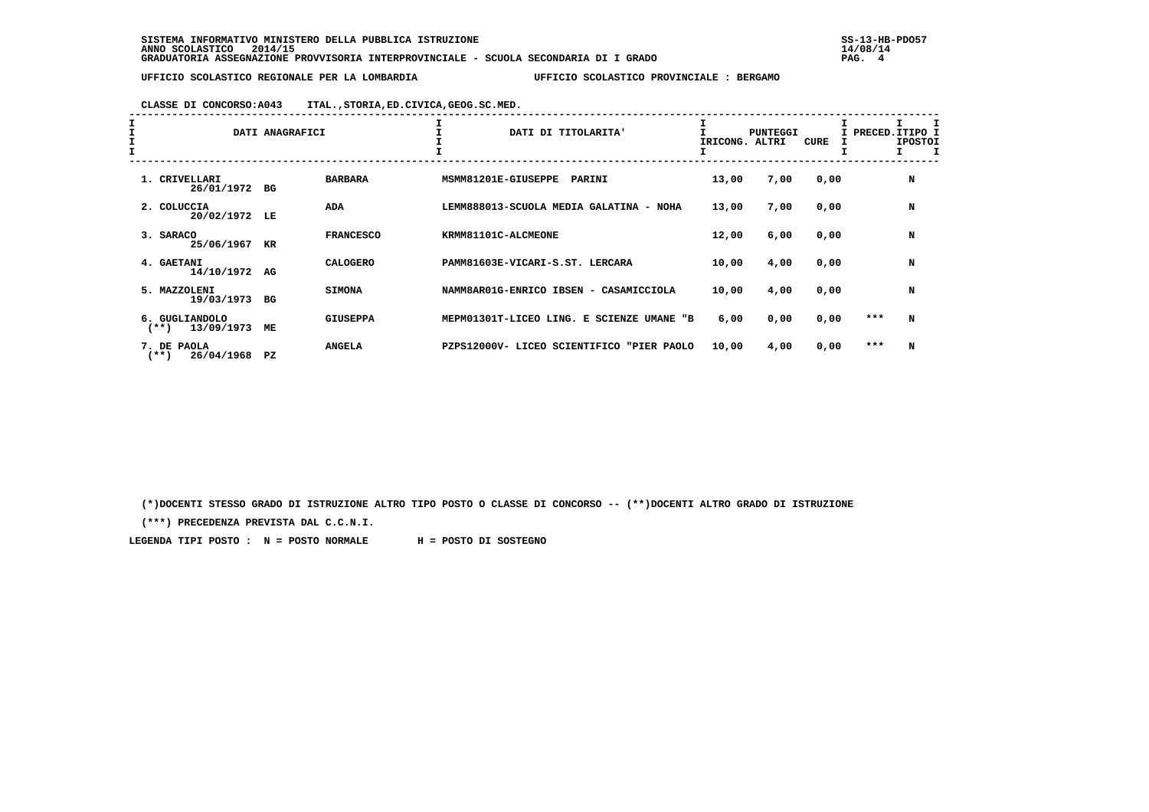# **CLASSE DI CONCORSO:A043 ITAL.,STORIA,ED.CIVICA,GEOG.SC.MED.**

| I<br>I<br>I | DATI ANAGRAFICI                         |    |                  | DATI DI TITOLARITA'                       | IRICONG. | <b>PUNTEGGI</b><br>ALTRI | CURE | I PRECED. ITIPO I<br>I | <b>IPOSTOI</b> |  |
|-------------|-----------------------------------------|----|------------------|-------------------------------------------|----------|--------------------------|------|------------------------|----------------|--|
|             | 1. CRIVELLARI<br>26/01/1972             | BG | <b>BARBARA</b>   | MSMM81201E-GIUSEPPE<br>PARINI             | 13,00    | 7,00                     | 0,00 |                        | N              |  |
|             | 2. COLUCCIA<br>20/02/1972               | LE | <b>ADA</b>       | LEMM888013-SCUOLA MEDIA GALATINA - NOHA   | 13,00    | 7,00                     | 0,00 |                        | N              |  |
|             | 3. SARACO<br>25/06/1967                 | KR | <b>FRANCESCO</b> | KRMM81101C-ALCMEONE                       | 12,00    | 6,00                     | 0,00 |                        | N              |  |
|             | 4. GAETANI<br>14/10/1972                | AG | <b>CALOGERO</b>  | PAMM81603E-VICARI-S.ST. LERCARA           | 10,00    | 4,00                     | 0,00 |                        | N              |  |
|             | 5. MAZZOLENI<br>19/03/1973              | BG | <b>SIMONA</b>    | NAMM8AR01G-ENRICO IBSEN - CASAMICCIOLA    | 10,00    | 4,00                     | 0,00 |                        | N              |  |
|             | 6. GUGLIANDOLO<br>13/09/1973<br>$(***)$ | ME | <b>GIUSEPPA</b>  | MEPM01301T-LICEO LING. E SCIENZE UMANE "B | 6,00     | 0,00                     | 0,00 | ***                    | N              |  |
|             | 7. DE PAOLA<br>$(***)$<br>26/04/1968    | PZ | <b>ANGELA</b>    | PZPS12000V- LICEO SCIENTIFICO "PIER PAOLO | 10,00    | 4,00                     | 0,00 | ***                    | N              |  |

 **(\*)DOCENTI STESSO GRADO DI ISTRUZIONE ALTRO TIPO POSTO O CLASSE DI CONCORSO -- (\*\*)DOCENTI ALTRO GRADO DI ISTRUZIONE**

 **(\*\*\*) PRECEDENZA PREVISTA DAL C.C.N.I.**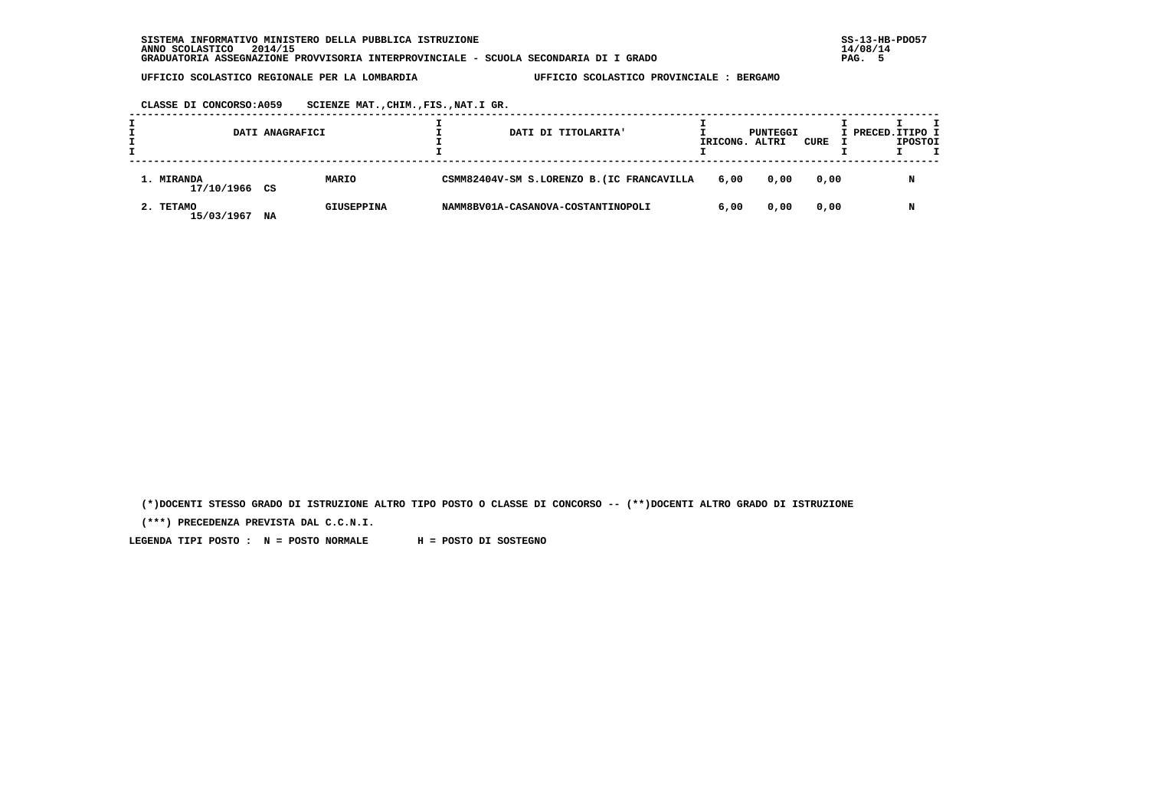**CLASSE DI CONCORSO:A059 SCIENZE MAT.,CHIM.,FIS.,NAT.I GR.**

|                             | DATI ANAGRAFICI |            |  | DATI DI TITOLARITA'                        | IRICONG. ALTRI | PUNTEGGI | CURE | I PRECED.ITIPO I | <b>IPOSTOI</b> |  |
|-----------------------------|-----------------|------------|--|--------------------------------------------|----------------|----------|------|------------------|----------------|--|
| 1. MIRANDA<br>17/10/1966 CS |                 | MARIO      |  | CSMM82404V-SM S.LORENZO B. (IC FRANCAVILLA | 6,00           | 0,00     | 0,00 |                  | N              |  |
| 2. TETAMO<br>15/03/1967     | NA              | GIUSEPPINA |  | NAMM8BV01A-CASANOVA-COSTANTINOPOLI         | 6,00           | 0,00     | 0,00 |                  | N              |  |

 **(\*)DOCENTI STESSO GRADO DI ISTRUZIONE ALTRO TIPO POSTO O CLASSE DI CONCORSO -- (\*\*)DOCENTI ALTRO GRADO DI ISTRUZIONE**

 **(\*\*\*) PRECEDENZA PREVISTA DAL C.C.N.I.**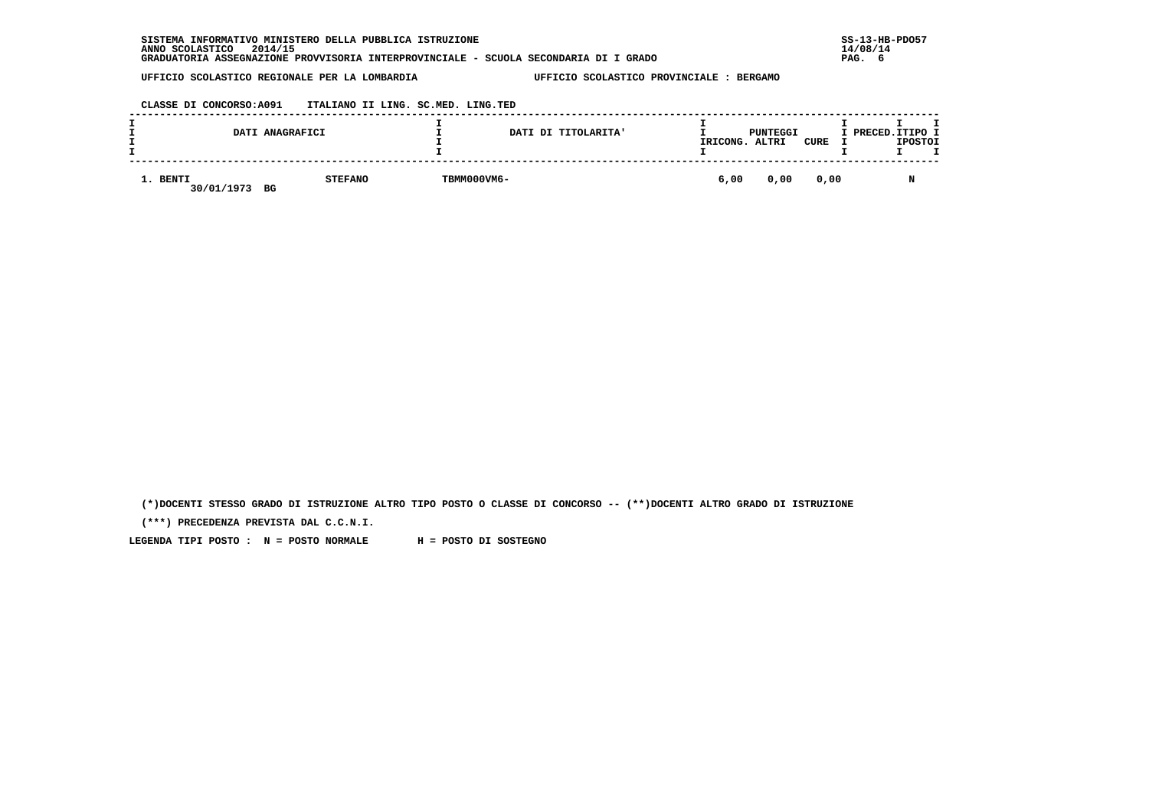| SISTEMA INFORMATIVO MINISTERO DELLA PUBBLICA ISTRUZIONE                              | $SS-13-HE$ |
|--------------------------------------------------------------------------------------|------------|
| 2014/15<br>ANNO SCOLASTICO                                                           | 14/08/14   |
| GRADUATORIA ASSEGNAZIONE PROVVISORIA INTERPROVINCIALE - SCUOLA SECONDARIA DI I GRADO | PAG. 6     |

 **CLASSE DI CONCORSO:A091 ITALIANO II LING. SC.MED. LING.TED**

|                        | DATI ANAGRAFICI      |             | DATI DI TITOLARITA' | IRICONG. | PUNTEGGI<br>ALTRI | <b>CURE</b> | I PRECED.ITIPO I<br><b>IPOSTOI</b> |
|------------------------|----------------------|-------------|---------------------|----------|-------------------|-------------|------------------------------------|
| 1. BENTI<br>30/01/1973 | <b>STEFANO</b><br>BG | TBMM000VM6- |                     | 6,00     | 0,00              | 0,00        | N                                  |

 **(\*)DOCENTI STESSO GRADO DI ISTRUZIONE ALTRO TIPO POSTO O CLASSE DI CONCORSO -- (\*\*)DOCENTI ALTRO GRADO DI ISTRUZIONE**

 **(\*\*\*) PRECEDENZA PREVISTA DAL C.C.N.I.**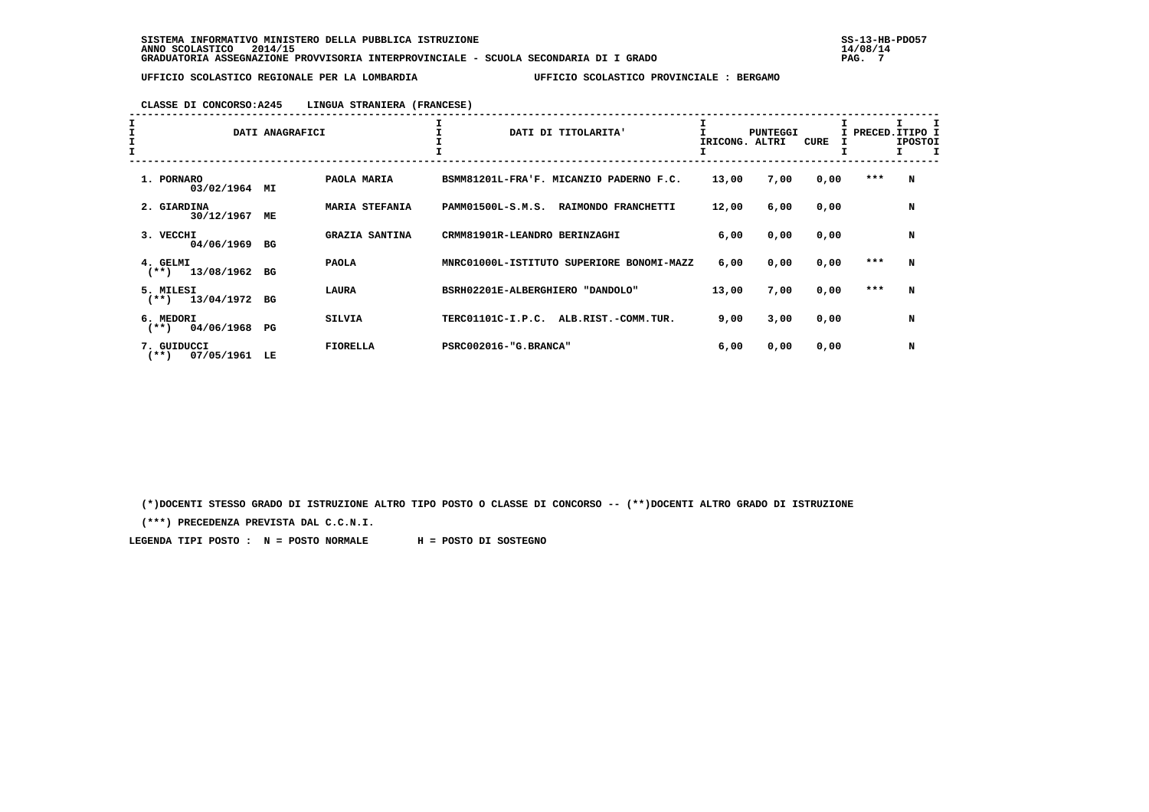# **CLASSE DI CONCORSO:A245 LINGUA STRANIERA (FRANCESE)**

| I<br>I<br>I | DATI ANAGRAFICI                      |    |                       | DATI DI TITOLARITA'                       | IRICONG. | <b>PUNTEGGI</b><br>ALTRI | CURE | I PRECED.ITIPO I<br>I | <b>IPOSTOI</b> |
|-------------|--------------------------------------|----|-----------------------|-------------------------------------------|----------|--------------------------|------|-----------------------|----------------|
|             | 1. PORNARO<br>03/02/1964 MI          |    | PAOLA MARIA           | BSMM81201L-FRA'F. MICANZIO PADERNO F.C.   | 13,00    | 7,00                     | 0,00 | ***                   | N              |
|             | 2. GIARDINA<br>30/12/1967            | МE | <b>MARIA STEFANIA</b> | PAMM01500L-S.M.S.<br>RAIMONDO FRANCHETTI  | 12,00    | 6,00                     | 0,00 |                       | N              |
|             | 3. VECCHI<br>04/06/1969              | BG | <b>GRAZIA SANTINA</b> | CRMM81901R-LEANDRO BERINZAGHI             | 6,00     | 0,00                     | 0,00 |                       | N              |
|             | 4. GELMI<br>13/08/1962<br>$(**)$     | BG | <b>PAOLA</b>          | MNRC01000L-ISTITUTO SUPERIORE BONOMI-MAZZ | 6,00     | 0,00                     | 0,00 | ***                   | N              |
|             | 5. MILESI<br>$(**)$ 13/04/1972       | BG | <b>LAURA</b>          | BSRH02201E-ALBERGHIERO "DANDOLO"          | 13,00    | 7,00                     | 0,00 | ***                   | N              |
|             | 6. MEDORI<br>04/06/1968<br>$(***)$   | PG | <b>SILVIA</b>         | TERC01101C-I.P.C.<br>ALB.RIST.-COMM.TUR.  | 9,00     | 3,00                     | 0,00 |                       | N              |
|             | 7. GUIDUCCI<br>07/05/1961<br>$(***)$ | LE | <b>FIORELLA</b>       | PSRC002016-"G.BRANCA"                     | 6,00     | 0,00                     | 0,00 |                       | N              |

 **(\*)DOCENTI STESSO GRADO DI ISTRUZIONE ALTRO TIPO POSTO O CLASSE DI CONCORSO -- (\*\*)DOCENTI ALTRO GRADO DI ISTRUZIONE**

 **(\*\*\*) PRECEDENZA PREVISTA DAL C.C.N.I.**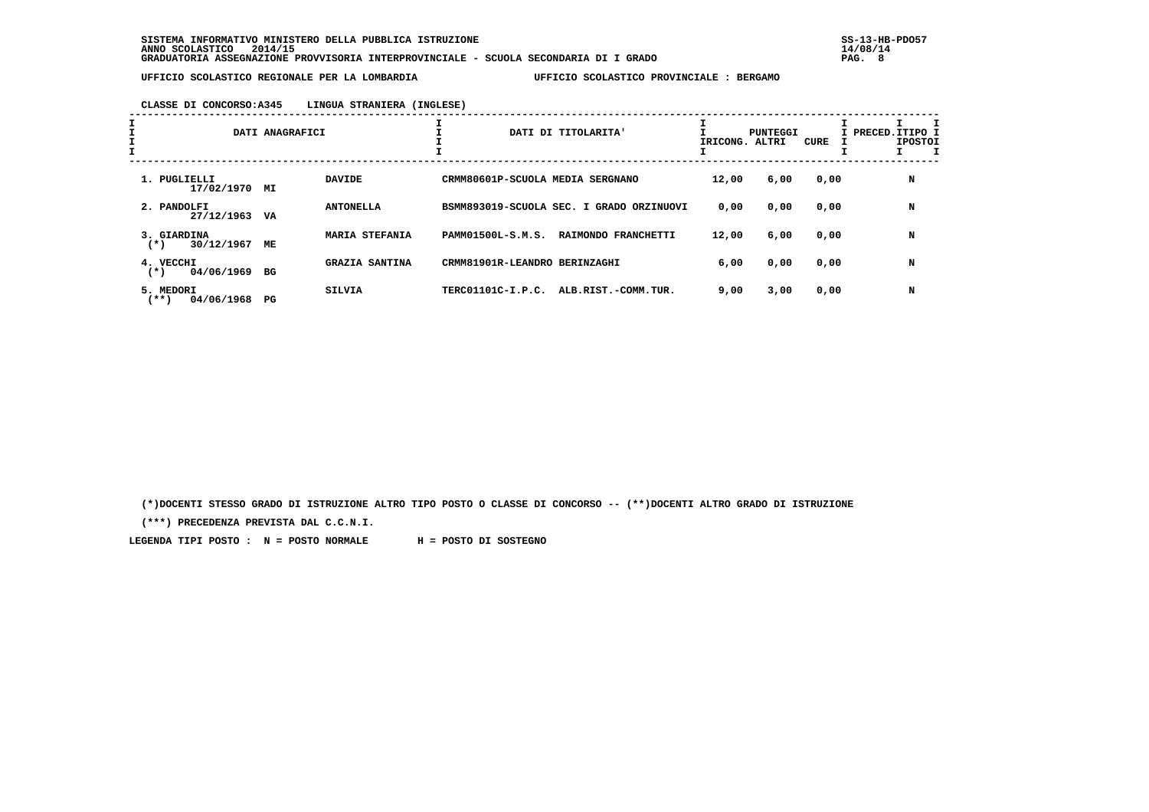# **CLASSE DI CONCORSO:A345 LINGUA STRANIERA (INGLESE)**

| ÷.                                 | DATI ANAGRAFICI |                       | ÷.<br>DATI DI TITOLARITA'                | IRICONG. ALTRI | PUNTEGGI | CURE | I PRECED.ITIPO I<br><b>IPOSTOI</b> |
|------------------------------------|-----------------|-----------------------|------------------------------------------|----------------|----------|------|------------------------------------|
| 1. PUGLIELLI<br>17/02/1970         | МI              | <b>DAVIDE</b>         | CRMM80601P-SCUOLA MEDIA SERGNANO         | 12,00          | 6,00     | 0,00 | N                                  |
| 2. PANDOLFI<br>27/12/1963          | VA              | <b>ANTONELLA</b>      | BSMM893019-SCUOLA SEC. I GRADO ORZINUOVI | 0,00           | 0,00     | 0,00 | N                                  |
| 3. GIARDINA<br>30/12/1967<br>$(*)$ | МE              | MARIA STEFANIA        | PAMM01500L-S.M.S.<br>RAIMONDO FRANCHETTI | 12,00          | 6,00     | 0,00 | N                                  |
| 4. VECCHI<br>04/06/1969<br>$(*)$   | BG              | <b>GRAZIA SANTINA</b> | CRMM81901R-LEANDRO BERINZAGHI            | 6,00           | 0,00     | 0,00 | N                                  |
| 5. MEDORI<br>04/06/1968<br>(**)    | PG              | SILVIA                | TERC01101C-I.P.C.<br>ALB.RIST.-COMM.TUR. | 9,00           | 3,00     | 0,00 | N                                  |

 **(\*)DOCENTI STESSO GRADO DI ISTRUZIONE ALTRO TIPO POSTO O CLASSE DI CONCORSO -- (\*\*)DOCENTI ALTRO GRADO DI ISTRUZIONE**

 **(\*\*\*) PRECEDENZA PREVISTA DAL C.C.N.I.**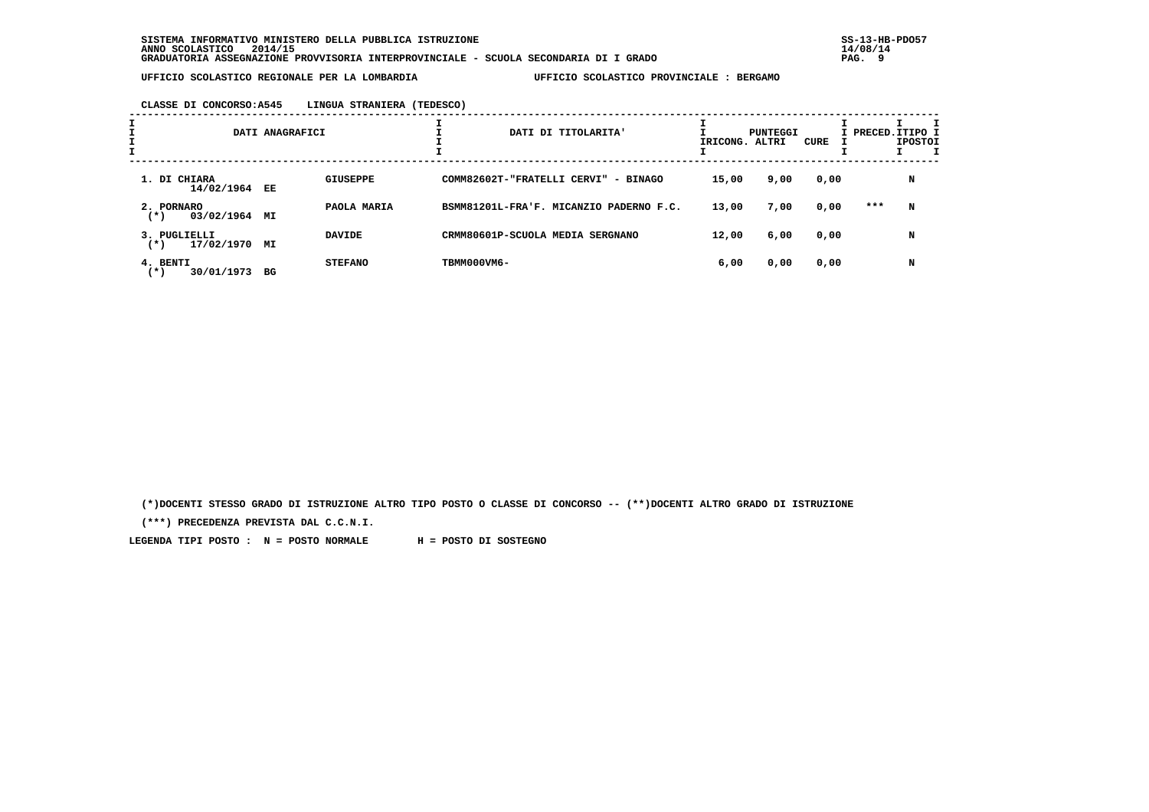**CLASSE DI CONCORSO:A545 LINGUA STRANIERA (TEDESCO)**

| I |                                        | DATI ANAGRAFICI |                 |             | DATI DI TITOLARITA'                     | IRICONG. ALTRI | PUNTEGGI | CURE |     | I PRECED. ITIPO I<br><b>IPOSTOI</b><br>I |
|---|----------------------------------------|-----------------|-----------------|-------------|-----------------------------------------|----------------|----------|------|-----|------------------------------------------|
|   | 1. DI CHIARA<br>14/02/1964 EE          |                 | <b>GIUSEPPE</b> |             | COMM82602T-"FRATELLI CERVI" - BINAGO    | 15,00          | 9,00     | 0,00 |     | N                                        |
|   | 2. PORNARO<br>03/02/1964<br>$(*)$      | МI              | PAOLA MARIA     |             | BSMM81201L-FRA'F. MICANZIO PADERNO F.C. | 13,00          | 7,00     | 0,00 | *** | N                                        |
|   | 3. PUGLIELLI<br>17/02/1970<br>$^{(*)}$ | МI              | <b>DAVIDE</b>   |             | CRMM80601P-SCUOLA MEDIA SERGNANO        | 12,00          | 6,00     | 0,00 |     | N                                        |
|   | 4. BENTI<br>30/01/1973 BG<br>$^{(*)}$  |                 | <b>STEFANO</b>  | TBMM000VM6- |                                         | 6,00           | 0,00     | 0,00 |     | N                                        |

 **(\*)DOCENTI STESSO GRADO DI ISTRUZIONE ALTRO TIPO POSTO O CLASSE DI CONCORSO -- (\*\*)DOCENTI ALTRO GRADO DI ISTRUZIONE**

 **(\*\*\*) PRECEDENZA PREVISTA DAL C.C.N.I.**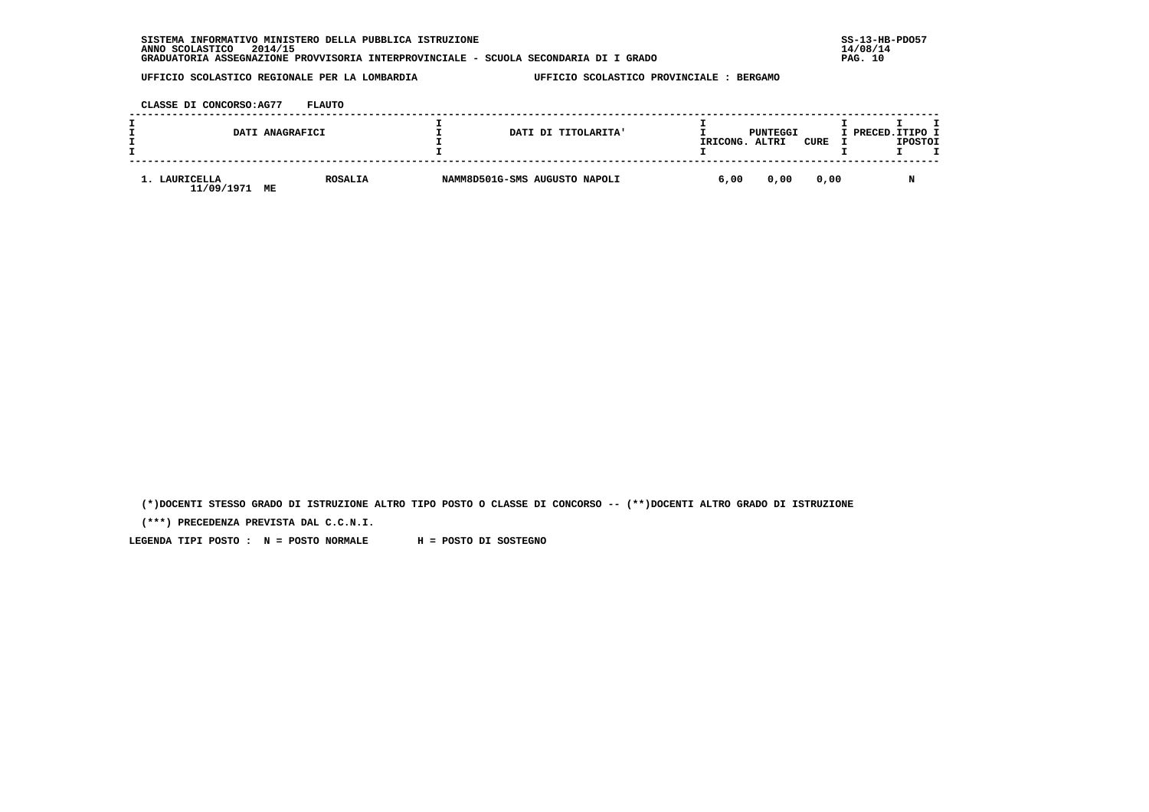| INFORMATIVO MINISTERO DELLA PUBBLICA ISTRUZIONE<br><b>SISTEMA</b>                    | $SS-13-HE$ |
|--------------------------------------------------------------------------------------|------------|
| 2014/15<br>ANNO SCOLASTICO                                                           | 14/08/14   |
| GRADUATORIA ASSEGNAZIONE PROVVISORIA INTERPROVINCIALE - SCUOLA SECONDARIA DI I GRADO | PAG. 10    |

 **CLASSE DI CONCORSO:AG77 FLAUTO**

|                                | DATI ANAGRAFICI | DATI DI TITOLARITA'           | IRICONG. | PUNTEGGI<br>ALTRI | CURE | I PRECED. ITIPO I | <b>IPOSTOI</b> |  |
|--------------------------------|-----------------|-------------------------------|----------|-------------------|------|-------------------|----------------|--|
| LAURICELLA<br>11/09/1971<br>МE | <b>ROSALIA</b>  | NAMM8D501G-SMS AUGUSTO NAPOLI | 6,00     | 0,00              | 0,00 |                   |                |  |

 **(\*)DOCENTI STESSO GRADO DI ISTRUZIONE ALTRO TIPO POSTO O CLASSE DI CONCORSO -- (\*\*)DOCENTI ALTRO GRADO DI ISTRUZIONE**

 **(\*\*\*) PRECEDENZA PREVISTA DAL C.C.N.I.**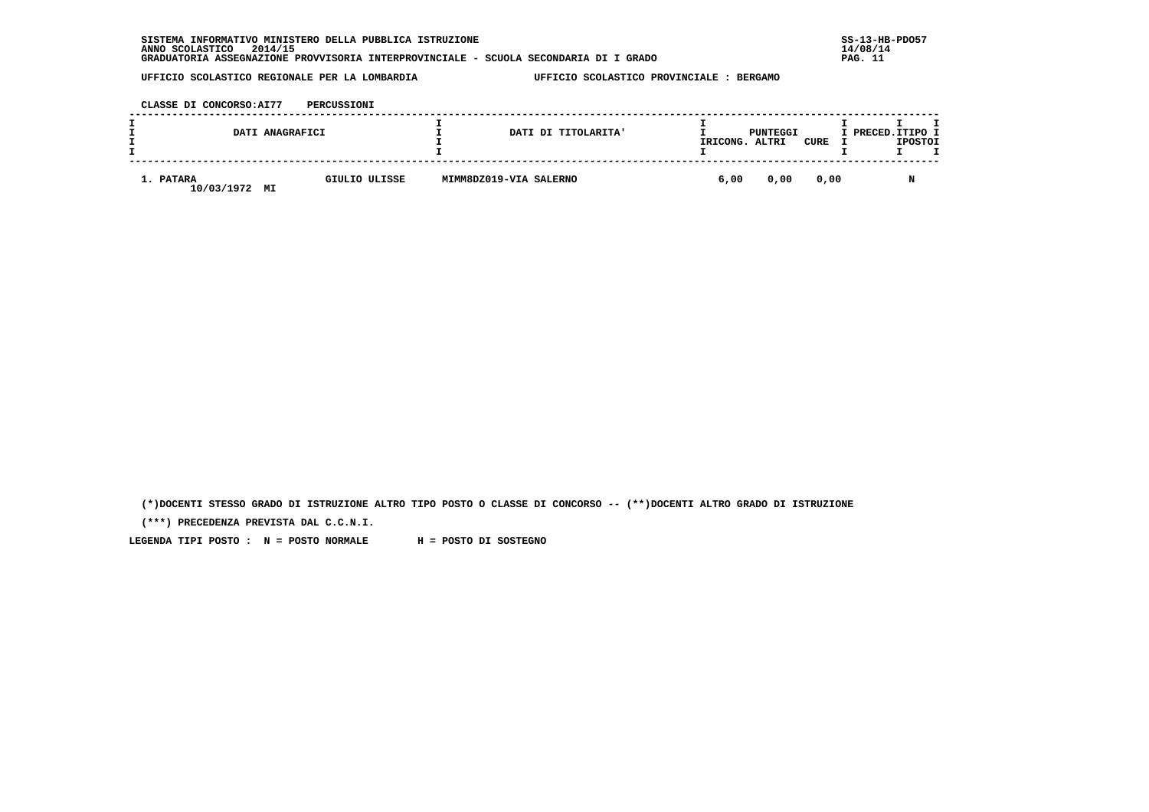| INFORMATIVO MINISTERO DELLA PUBBLICA ISTRUZIONE<br><b>SISTEMA</b>                    | $SS-13-HE$ |
|--------------------------------------------------------------------------------------|------------|
| 2014/15<br>ANNO SCOLASTICO                                                           | 14/08/14   |
| GRADUATORIA ASSEGNAZIONE PROVVISORIA INTERPROVINCIALE - SCUOLA SECONDARIA DI I GRADO | PAG.       |

 **CLASSE DI CONCORSO:AI77 PERCUSSIONI**

| DATI ANAGRAFICI               |               |                        | DATI DI TITOLARITA' | IRICONG. | PUNTEGGI<br>ALTRI | CURE | I PRECED.ITIPO I | <b>IPOSTOI</b> |  |
|-------------------------------|---------------|------------------------|---------------------|----------|-------------------|------|------------------|----------------|--|
| 1. PATARA<br>10/03/1972<br>MI | GIULIO ULISSE | MIMM8DZ019-VIA SALERNO |                     | 6,00     | 0,00              | 0,00 |                  | M              |  |

 **(\*)DOCENTI STESSO GRADO DI ISTRUZIONE ALTRO TIPO POSTO O CLASSE DI CONCORSO -- (\*\*)DOCENTI ALTRO GRADO DI ISTRUZIONE**

 **(\*\*\*) PRECEDENZA PREVISTA DAL C.C.N.I.**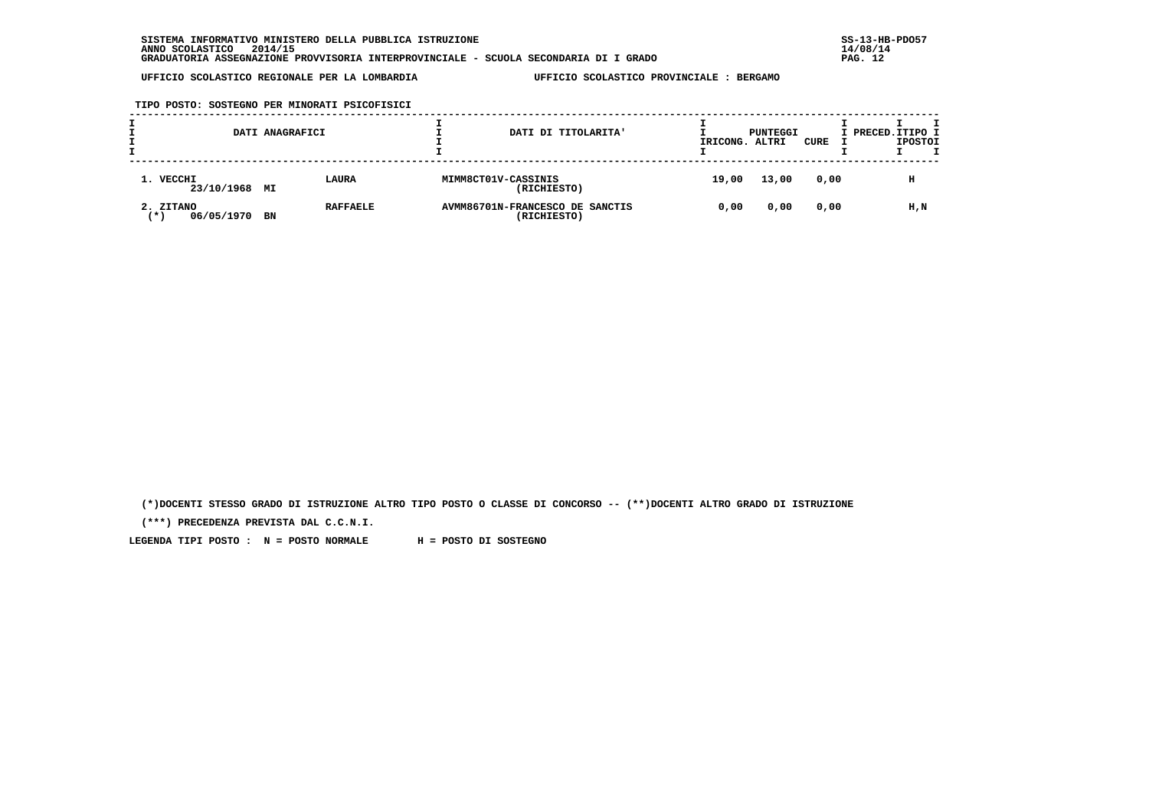**TIPO POSTO: SOSTEGNO PER MINORATI PSICOFISICI**

|                                  | DATI ANAGRAFICI |                 |                     | DATI DI TITOLARITA'                            | IRICONG. | PUNTEGGI<br>ALTRI | CURE | I PRECED.ITIPO I | <b>IPOSTOI</b> |  |
|----------------------------------|-----------------|-----------------|---------------------|------------------------------------------------|----------|-------------------|------|------------------|----------------|--|
| 1. VECCHI<br>23/10/1968 MI       |                 | LAURA           | MIMM8CT01V-CASSINIS | (RICHIESTO)                                    | 19,00    | 13,00             | 0,00 |                  | н              |  |
| 2. ZITANO<br>06/05/1970<br>′ ★ ' | BN              | <b>RAFFAELE</b> |                     | AVMM86701N-FRANCESCO DE SANCTIS<br>(RICHIESTO) | 0,00     | 0,00              | 0,00 |                  | H,N            |  |

 **(\*)DOCENTI STESSO GRADO DI ISTRUZIONE ALTRO TIPO POSTO O CLASSE DI CONCORSO -- (\*\*)DOCENTI ALTRO GRADO DI ISTRUZIONE**

 **(\*\*\*) PRECEDENZA PREVISTA DAL C.C.N.I.**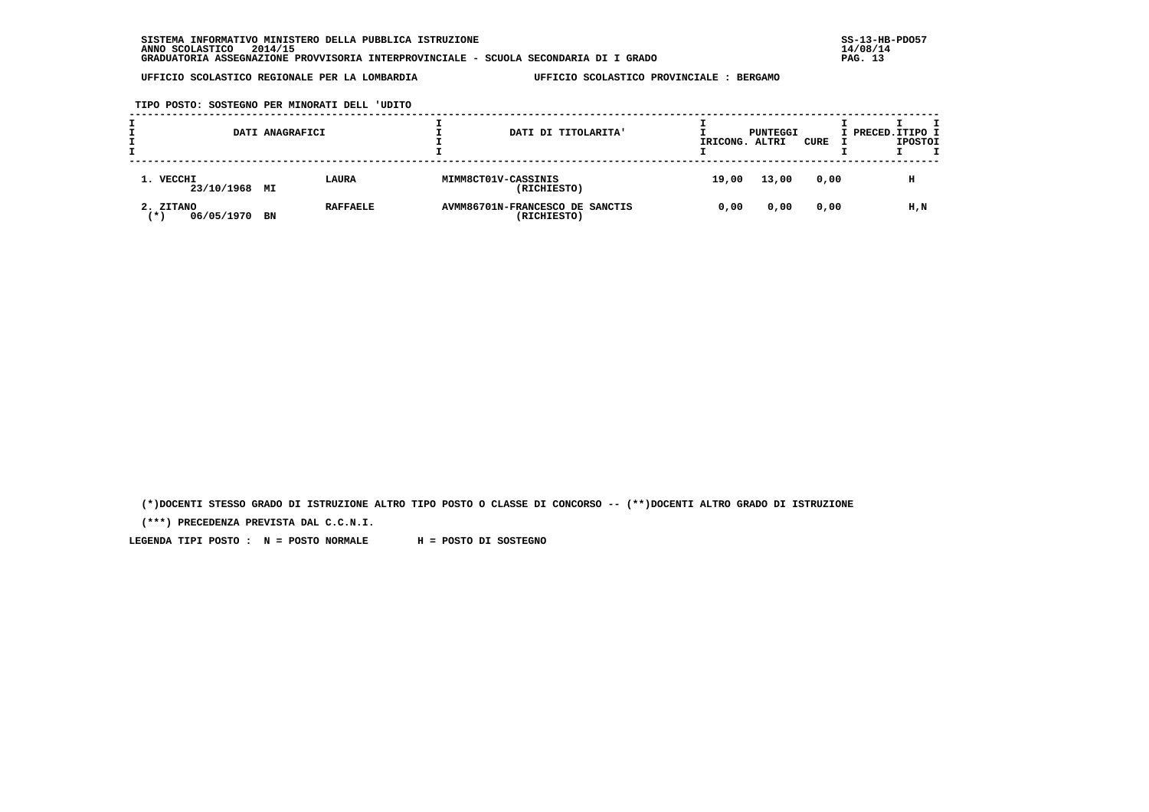**TIPO POSTO: SOSTEGNO PER MINORATI DELL 'UDITO**

|                                  | DATI ANAGRAFICI |                 |                     | DATI DI TITOLARITA'                            | IRICONG. | PUNTEGGI<br>ALTRI | CURE | I PRECED. ITIPO I | <b>IPOSTOI</b> |  |
|----------------------------------|-----------------|-----------------|---------------------|------------------------------------------------|----------|-------------------|------|-------------------|----------------|--|
| 1. VECCHI<br>23/10/1968 MI       |                 | LAURA           | MIMM8CT01V-CASSINIS | (RICHIESTO)                                    | 19,00    | 13,00             | 0,00 |                   | н              |  |
| 2. ZITANO<br>06/05/1970<br>′ ★ ' | BN              | <b>RAFFAELE</b> |                     | AVMM86701N-FRANCESCO DE SANCTIS<br>(RICHIESTO) | 0,00     | 0,00              | 0,00 |                   | H,N            |  |

 **(\*)DOCENTI STESSO GRADO DI ISTRUZIONE ALTRO TIPO POSTO O CLASSE DI CONCORSO -- (\*\*)DOCENTI ALTRO GRADO DI ISTRUZIONE**

 **(\*\*\*) PRECEDENZA PREVISTA DAL C.C.N.I.**